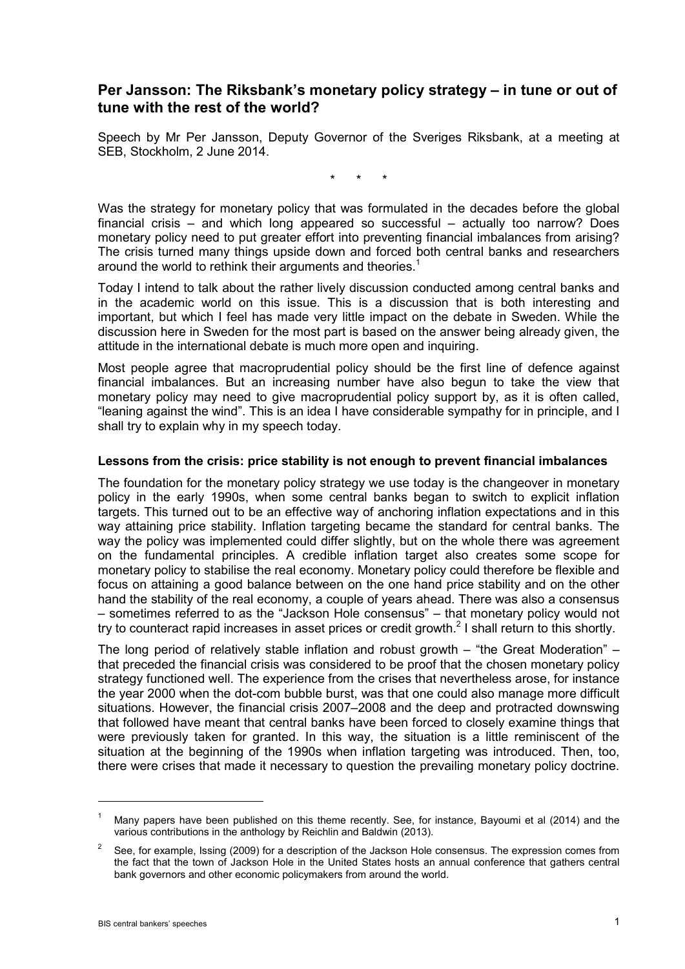# **Per Jansson: The Riksbank's monetary policy strategy – in tune or out of tune with the rest of the world?**

Speech by Mr Per Jansson, Deputy Governor of the Sveriges Riksbank, at a meeting at SEB, Stockholm, 2 June 2014.

\* \* \*

Was the strategy for monetary policy that was formulated in the decades before the global financial crisis – and which long appeared so successful – actually too narrow? Does monetary policy need to put greater effort into preventing financial imbalances from arising? The crisis turned many things upside down and forced both central banks and researchers around the world to rethink their arguments and theories.<sup>1</sup>

Today I intend to talk about the rather lively discussion conducted among central banks and in the academic world on this issue. This is a discussion that is both interesting and important, but which I feel has made very little impact on the debate in Sweden. While the discussion here in Sweden for the most part is based on the answer being already given, the attitude in the international debate is much more open and inquiring.

Most people agree that macroprudential policy should be the first line of defence against financial imbalances. But an increasing number have also begun to take the view that monetary policy may need to give macroprudential policy support by, as it is often called, "leaning against the wind". This is an idea I have considerable sympathy for in principle, and I shall try to explain why in my speech today.

### **Lessons from the crisis: price stability is not enough to prevent financial imbalances**

The foundation for the monetary policy strategy we use today is the changeover in monetary policy in the early 1990s, when some central banks began to switch to explicit inflation targets. This turned out to be an effective way of anchoring inflation expectations and in this way attaining price stability. Inflation targeting became the standard for central banks. The way the policy was implemented could differ slightly, but on the whole there was agreement on the fundamental principles. A credible inflation target also creates some scope for monetary policy to stabilise the real economy. Monetary policy could therefore be flexible and focus on attaining a good balance between on the one hand price stability and on the other hand the stability of the real economy, a couple of years ahead. There was also a consensus – sometimes referred to as the "Jackson Hole consensus" – that monetary policy would not try to counteract rapid increases in asset prices or credit growth.<sup>2</sup> I shall return to this shortly.

The long period of relatively stable inflation and robust growth – "the Great Moderation" – that preceded the financial crisis was considered to be proof that the chosen monetary policy strategy functioned well. The experience from the crises that nevertheless arose, for instance the year 2000 when the dot-com bubble burst, was that one could also manage more difficult situations. However, the financial crisis 2007–2008 and the deep and protracted downswing that followed have meant that central banks have been forced to closely examine things that were previously taken for granted. In this way, the situation is a little reminiscent of the situation at the beginning of the 1990s when inflation targeting was introduced. Then, too, there were crises that made it necessary to question the prevailing monetary policy doctrine.

<sup>1</sup> Many papers have been published on this theme recently. See, for instance, Bayoumi et al (2014) and the various contributions in the anthology by Reichlin and Baldwin (2013).

<sup>2</sup> See, for example, Issing (2009) for a description of the Jackson Hole consensus. The expression comes from the fact that the town of Jackson Hole in the United States hosts an annual conference that gathers central bank governors and other economic policymakers from around the world.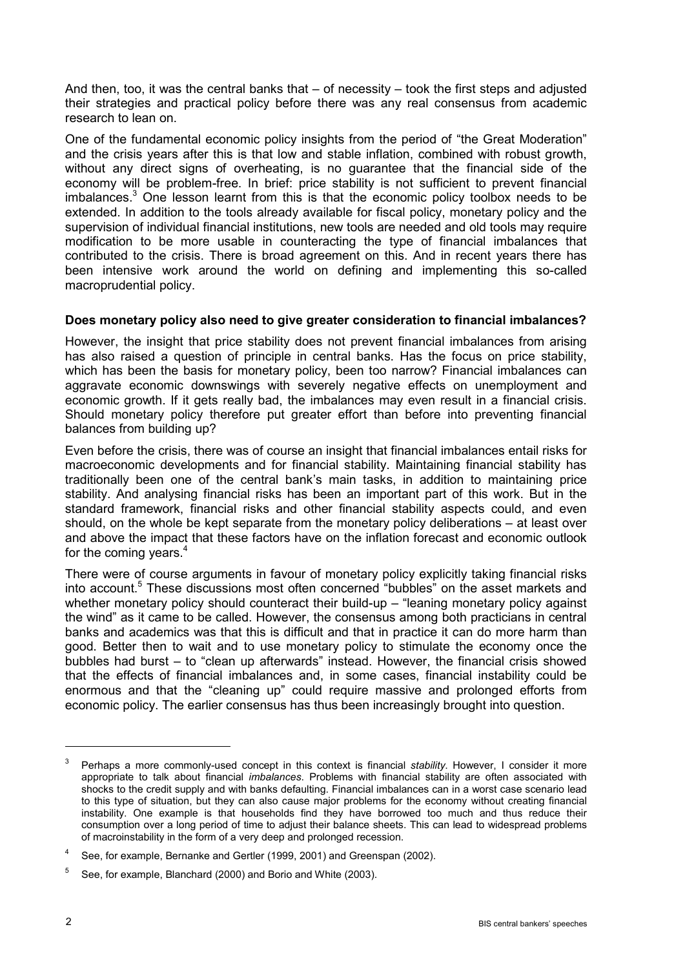And then, too, it was the central banks that  $-$  of necessity  $-$  took the first steps and adjusted their strategies and practical policy before there was any real consensus from academic research to lean on.

One of the fundamental economic policy insights from the period of "the Great Moderation" and the crisis years after this is that low and stable inflation, combined with robust growth, without any direct signs of overheating, is no guarantee that the financial side of the economy will be problem-free. In brief: price stability is not sufficient to prevent financial imbalances.<sup>3</sup> One lesson learnt from this is that the economic policy toolbox needs to be extended. In addition to the tools already available for fiscal policy, monetary policy and the supervision of individual financial institutions, new tools are needed and old tools may require modification to be more usable in counteracting the type of financial imbalances that contributed to the crisis. There is broad agreement on this. And in recent years there has been intensive work around the world on defining and implementing this so-called macroprudential policy.

### **Does monetary policy also need to give greater consideration to financial imbalances?**

However, the insight that price stability does not prevent financial imbalances from arising has also raised a question of principle in central banks. Has the focus on price stability, which has been the basis for monetary policy, been too narrow? Financial imbalances can aggravate economic downswings with severely negative effects on unemployment and economic growth. If it gets really bad, the imbalances may even result in a financial crisis. Should monetary policy therefore put greater effort than before into preventing financial balances from building up?

Even before the crisis, there was of course an insight that financial imbalances entail risks for macroeconomic developments and for financial stability. Maintaining financial stability has traditionally been one of the central bank's main tasks, in addition to maintaining price stability. And analysing financial risks has been an important part of this work. But in the standard framework, financial risks and other financial stability aspects could, and even should, on the whole be kept separate from the monetary policy deliberations – at least over and above the impact that these factors have on the inflation forecast and economic outlook for the coming years.<sup>4</sup>

There were of course arguments in favour of monetary policy explicitly taking financial risks into account.<sup>5</sup> These discussions most often concerned "bubbles" on the asset markets and whether monetary policy should counteract their build-up – "leaning monetary policy against the wind" as it came to be called. However, the consensus among both practicians in central banks and academics was that this is difficult and that in practice it can do more harm than good. Better then to wait and to use monetary policy to stimulate the economy once the bubbles had burst – to "clean up afterwards" instead. However, the financial crisis showed that the effects of financial imbalances and, in some cases, financial instability could be enormous and that the "cleaning up" could require massive and prolonged efforts from economic policy. The earlier consensus has thus been increasingly brought into question.

<sup>3</sup> Perhaps a more commonly-used concept in this context is financial *stability*. However, I consider it more appropriate to talk about financial *imbalances*. Problems with financial stability are often associated with shocks to the credit supply and with banks defaulting. Financial imbalances can in a worst case scenario lead to this type of situation, but they can also cause major problems for the economy without creating financial instability. One example is that households find they have borrowed too much and thus reduce their consumption over a long period of time to adjust their balance sheets. This can lead to widespread problems of macroinstability in the form of a very deep and prolonged recession.

<sup>&</sup>lt;sup>4</sup> See, for example, Bernanke and Gertler (1999, 2001) and Greenspan (2002).

<sup>5</sup> See, for example, Blanchard (2000) and Borio and White (2003).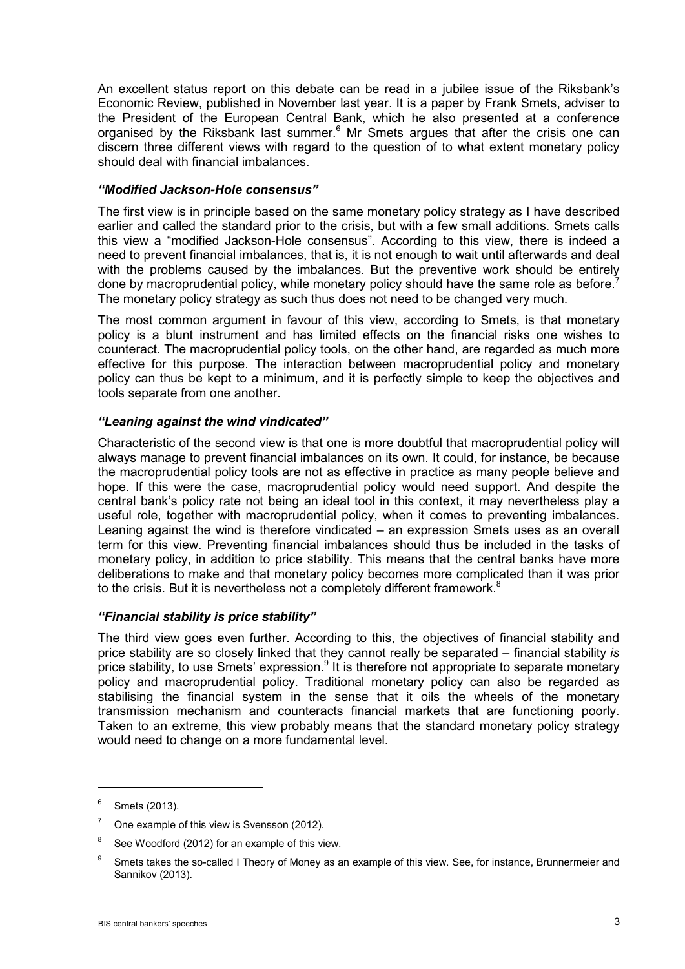An excellent status report on this debate can be read in a jubilee issue of the Riksbank's Economic Review, published in November last year. It is a paper by Frank Smets, adviser to the President of the European Central Bank, which he also presented at a conference organised by the Riksbank last summer. $6$  Mr Smets argues that after the crisis one can discern three different views with regard to the question of to what extent monetary policy should deal with financial imbalances.

### *"Modified Jackson-Hole consensus"*

The first view is in principle based on the same monetary policy strategy as I have described earlier and called the standard prior to the crisis, but with a few small additions. Smets calls this view a "modified Jackson-Hole consensus". According to this view, there is indeed a need to prevent financial imbalances, that is, it is not enough to wait until afterwards and deal with the problems caused by the imbalances. But the preventive work should be entirely done by macroprudential policy, while monetary policy should have the same role as before.<sup>7</sup> The monetary policy strategy as such thus does not need to be changed very much.

The most common argument in favour of this view, according to Smets, is that monetary policy is a blunt instrument and has limited effects on the financial risks one wishes to counteract. The macroprudential policy tools, on the other hand, are regarded as much more effective for this purpose. The interaction between macroprudential policy and monetary policy can thus be kept to a minimum, and it is perfectly simple to keep the objectives and tools separate from one another.

# *"Leaning against the wind vindicated"*

Characteristic of the second view is that one is more doubtful that macroprudential policy will always manage to prevent financial imbalances on its own. It could, for instance, be because the macroprudential policy tools are not as effective in practice as many people believe and hope. If this were the case, macroprudential policy would need support. And despite the central bank's policy rate not being an ideal tool in this context, it may nevertheless play a useful role, together with macroprudential policy, when it comes to preventing imbalances. Leaning against the wind is therefore vindicated – an expression Smets uses as an overall term for this view. Preventing financial imbalances should thus be included in the tasks of monetary policy, in addition to price stability. This means that the central banks have more deliberations to make and that monetary policy becomes more complicated than it was prior to the crisis. But it is nevertheless not a completely different framework. $8$ 

#### *"Financial stability is price stability"*

The third view goes even further. According to this, the objectives of financial stability and price stability are so closely linked that they cannot really be separated – financial stability *is*  price stability, to use Smets' expression.<sup>9</sup> It is therefore not appropriate to separate monetary policy and macroprudential policy. Traditional monetary policy can also be regarded as stabilising the financial system in the sense that it oils the wheels of the monetary transmission mechanism and counteracts financial markets that are functioning poorly. Taken to an extreme, this view probably means that the standard monetary policy strategy would need to change on a more fundamental level.

 $6$  Smets (2013).

 $7$  One example of this view is Svensson (2012).

See Woodford (2012) for an example of this view.

<sup>&</sup>lt;sup>9</sup> Smets takes the so-called I Theory of Money as an example of this view. See, for instance, Brunnermeier and Sannikov (2013).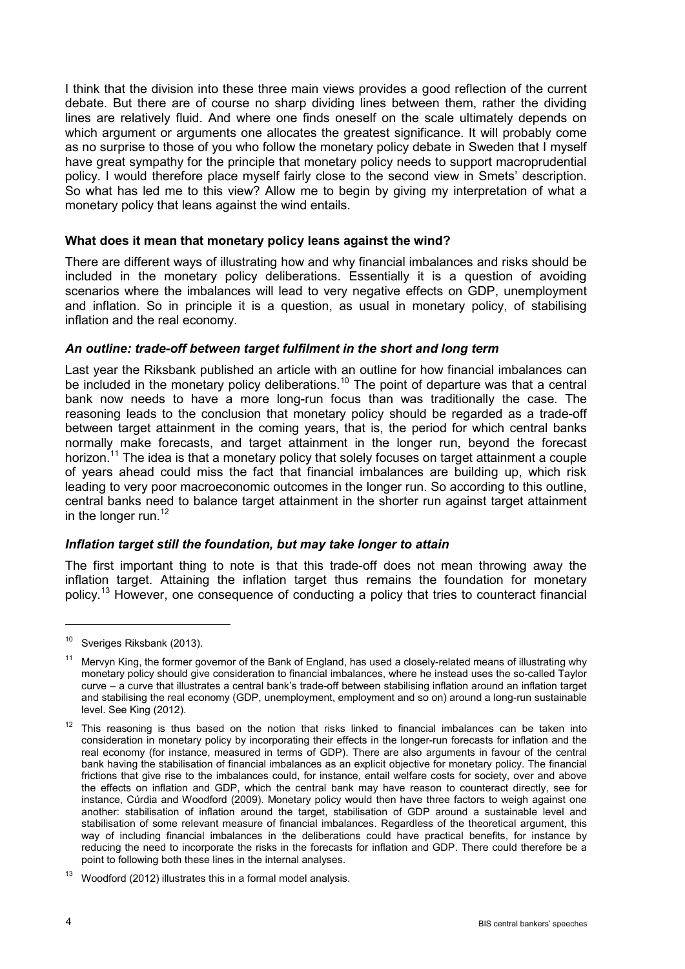I think that the division into these three main views provides a good reflection of the current debate. But there are of course no sharp dividing lines between them, rather the dividing lines are relatively fluid. And where one finds oneself on the scale ultimately depends on which argument or arguments one allocates the greatest significance. It will probably come as no surprise to those of you who follow the monetary policy debate in Sweden that I myself have great sympathy for the principle that monetary policy needs to support macroprudential policy. I would therefore place myself fairly close to the second view in Smets' description. So what has led me to this view? Allow me to begin by giving my interpretation of what a monetary policy that leans against the wind entails.

### **What does it mean that monetary policy leans against the wind?**

There are different ways of illustrating how and why financial imbalances and risks should be included in the monetary policy deliberations. Essentially it is a question of avoiding scenarios where the imbalances will lead to very negative effects on GDP, unemployment and inflation. So in principle it is a question, as usual in monetary policy, of stabilising inflation and the real economy.

# *An outline: trade-off between target fulfilment in the short and long term*

Last year the Riksbank published an article with an outline for how financial imbalances can be included in the monetary policy deliberations.<sup>10</sup> The point of departure was that a central bank now needs to have a more long-run focus than was traditionally the case. The reasoning leads to the conclusion that monetary policy should be regarded as a trade-off between target attainment in the coming years, that is, the period for which central banks normally make forecasts, and target attainment in the longer run, beyond the forecast horizon.<sup>11</sup> The idea is that a monetary policy that solely focuses on target attainment a couple of years ahead could miss the fact that financial imbalances are building up, which risk leading to very poor macroeconomic outcomes in the longer run. So according to this outline, central banks need to balance target attainment in the shorter run against target attainment in the longer run.<sup>12</sup>

# *Inflation target still the foundation, but may take longer to attain*

The first important thing to note is that this trade-off does not mean throwing away the inflation target. Attaining the inflation target thus remains the foundation for monetary policy.<sup>13</sup> However, one consequence of conducting a policy that tries to counteract financial

<sup>&</sup>lt;sup>10</sup> Sveriges Riksbank (2013).

<sup>11</sup> Mervyn King, the former governor of the Bank of England, has used a closely-related means of illustrating why monetary policy should give consideration to financial imbalances, where he instead uses the so-called Taylor curve – a curve that illustrates a central bank's trade-off between stabilising inflation around an inflation target and stabilising the real economy (GDP, unemployment, employment and so on) around a long-run sustainable level. See King (2012).

 $12$  This reasoning is thus based on the notion that risks linked to financial imbalances can be taken into consideration in monetary policy by incorporating their effects in the longer-run forecasts for inflation and the real economy (for instance, measured in terms of GDP). There are also arguments in favour of the central bank having the stabilisation of financial imbalances as an explicit objective for monetary policy. The financial frictions that give rise to the imbalances could, for instance, entail welfare costs for society, over and above the effects on inflation and GDP, which the central bank may have reason to counteract directly, see for instance, Cúrdia and Woodford (2009). Monetary policy would then have three factors to weigh against one another: stabilisation of inflation around the target, stabilisation of GDP around a sustainable level and stabilisation of some relevant measure of financial imbalances. Regardless of the theoretical argument, this way of including financial imbalances in the deliberations could have practical benefits, for instance by reducing the need to incorporate the risks in the forecasts for inflation and GDP. There could therefore be a point to following both these lines in the internal analyses.

<sup>13</sup> Woodford (2012) illustrates this in a formal model analysis.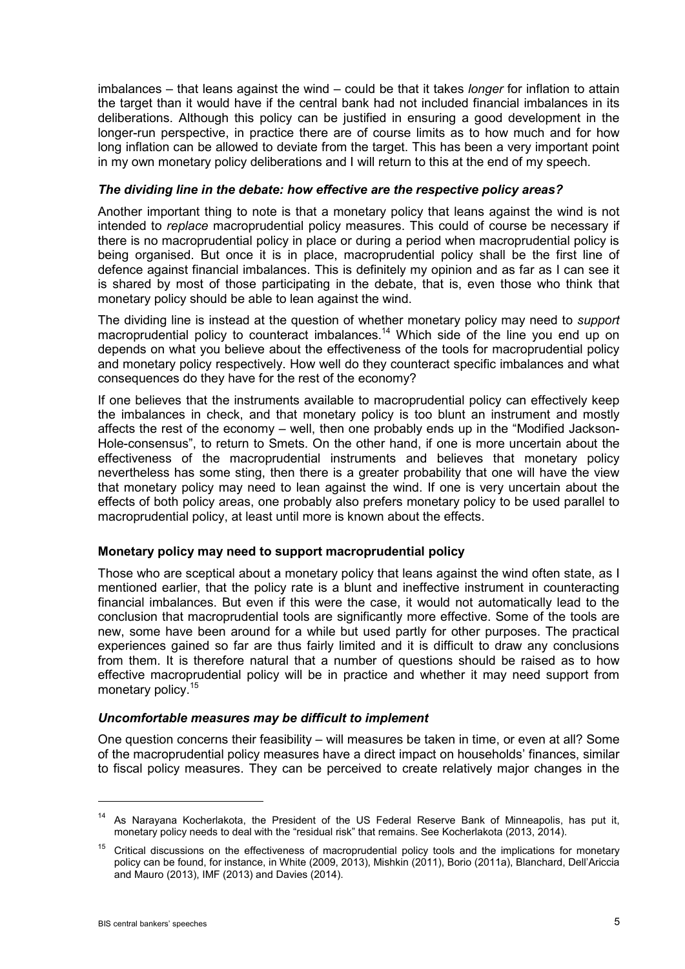imbalances – that leans against the wind – could be that it takes *longer* for inflation to attain the target than it would have if the central bank had not included financial imbalances in its deliberations. Although this policy can be justified in ensuring a good development in the longer-run perspective, in practice there are of course limits as to how much and for how long inflation can be allowed to deviate from the target. This has been a very important point in my own monetary policy deliberations and I will return to this at the end of my speech.

### *The dividing line in the debate: how effective are the respective policy areas?*

Another important thing to note is that a monetary policy that leans against the wind is not intended to *replace* macroprudential policy measures. This could of course be necessary if there is no macroprudential policy in place or during a period when macroprudential policy is being organised. But once it is in place, macroprudential policy shall be the first line of defence against financial imbalances. This is definitely my opinion and as far as I can see it is shared by most of those participating in the debate, that is, even those who think that monetary policy should be able to lean against the wind.

The dividing line is instead at the question of whether monetary policy may need to *support*  macroprudential policy to counteract imbalances.<sup>14</sup> Which side of the line you end up on depends on what you believe about the effectiveness of the tools for macroprudential policy and monetary policy respectively. How well do they counteract specific imbalances and what consequences do they have for the rest of the economy?

If one believes that the instruments available to macroprudential policy can effectively keep the imbalances in check, and that monetary policy is too blunt an instrument and mostly affects the rest of the economy – well, then one probably ends up in the "Modified Jackson-Hole-consensus", to return to Smets. On the other hand, if one is more uncertain about the effectiveness of the macroprudential instruments and believes that monetary policy nevertheless has some sting, then there is a greater probability that one will have the view that monetary policy may need to lean against the wind. If one is very uncertain about the effects of both policy areas, one probably also prefers monetary policy to be used parallel to macroprudential policy, at least until more is known about the effects.

# **Monetary policy may need to support macroprudential policy**

Those who are sceptical about a monetary policy that leans against the wind often state, as I mentioned earlier, that the policy rate is a blunt and ineffective instrument in counteracting financial imbalances. But even if this were the case, it would not automatically lead to the conclusion that macroprudential tools are significantly more effective. Some of the tools are new, some have been around for a while but used partly for other purposes. The practical experiences gained so far are thus fairly limited and it is difficult to draw any conclusions from them. It is therefore natural that a number of questions should be raised as to how effective macroprudential policy will be in practice and whether it may need support from monetary policy.<sup>15</sup>

#### *Uncomfortable measures may be difficult to implement*

One question concerns their feasibility – will measures be taken in time, or even at all? Some of the macroprudential policy measures have a direct impact on households' finances, similar to fiscal policy measures. They can be perceived to create relatively major changes in the

<sup>14</sup> As Narayana Kocherlakota, the President of the US Federal Reserve Bank of Minneapolis, has put it, monetary policy needs to deal with the "residual risk" that remains. See Kocherlakota (2013, 2014).

<sup>&</sup>lt;sup>15</sup> Critical discussions on the effectiveness of macroprudential policy tools and the implications for monetary policy can be found, for instance, in White (2009, 2013), Mishkin (2011), Borio (2011a), Blanchard, Dell'Ariccia and Mauro (2013), IMF (2013) and Davies (2014).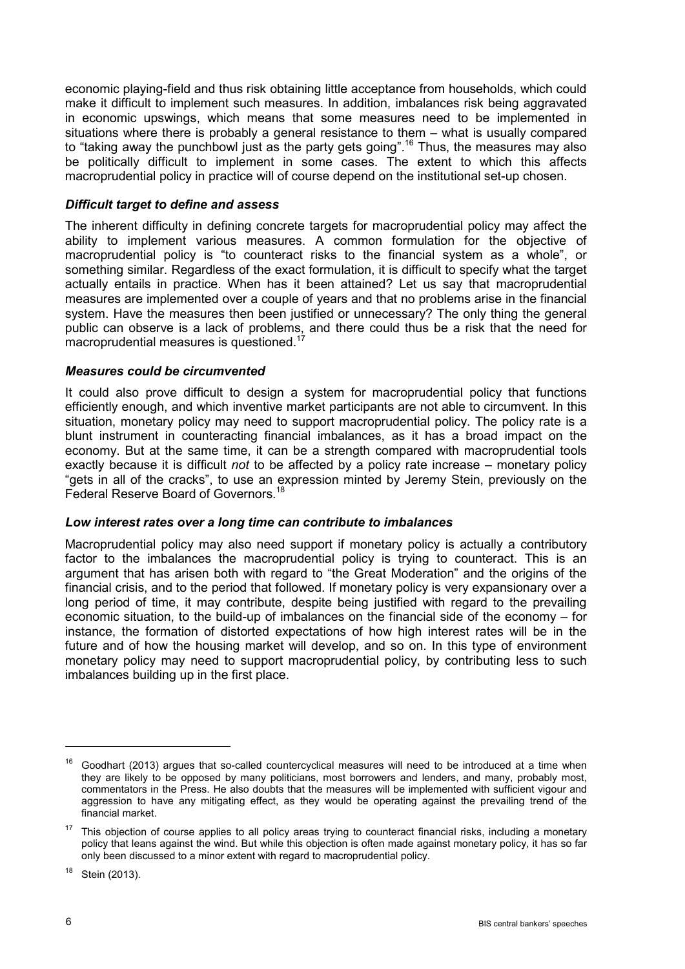economic playing-field and thus risk obtaining little acceptance from households, which could make it difficult to implement such measures. In addition, imbalances risk being aggravated in economic upswings, which means that some measures need to be implemented in situations where there is probably a general resistance to them – what is usually compared to "taking away the punchbowl just as the party gets going". <sup>16</sup> Thus, the measures may also be politically difficult to implement in some cases. The extent to which this affects macroprudential policy in practice will of course depend on the institutional set-up chosen.

# *Difficult target to define and assess*

The inherent difficulty in defining concrete targets for macroprudential policy may affect the ability to implement various measures. A common formulation for the objective of macroprudential policy is "to counteract risks to the financial system as a whole", or something similar. Regardless of the exact formulation, it is difficult to specify what the target actually entails in practice. When has it been attained? Let us say that macroprudential measures are implemented over a couple of years and that no problems arise in the financial system. Have the measures then been justified or unnecessary? The only thing the general public can observe is a lack of problems, and there could thus be a risk that the need for macroprudential measures is questioned.<sup>17</sup>

# *Measures could be circumvented*

It could also prove difficult to design a system for macroprudential policy that functions efficiently enough, and which inventive market participants are not able to circumvent. In this situation, monetary policy may need to support macroprudential policy. The policy rate is a blunt instrument in counteracting financial imbalances, as it has a broad impact on the economy. But at the same time, it can be a strength compared with macroprudential tools exactly because it is difficult *not* to be affected by a policy rate increase – monetary policy "gets in all of the cracks", to use an expression minted by Jeremy Stein, previously on the Federal Reserve Board of Governors.<sup>18</sup>

# *Low interest rates over a long time can contribute to imbalances*

Macroprudential policy may also need support if monetary policy is actually a contributory factor to the imbalances the macroprudential policy is trying to counteract. This is an argument that has arisen both with regard to "the Great Moderation" and the origins of the financial crisis, and to the period that followed. If monetary policy is very expansionary over a long period of time, it may contribute, despite being justified with regard to the prevailing economic situation, to the build-up of imbalances on the financial side of the economy – for instance, the formation of distorted expectations of how high interest rates will be in the future and of how the housing market will develop, and so on. In this type of environment monetary policy may need to support macroprudential policy, by contributing less to such imbalances building up in the first place.

<sup>18</sup> Stein (2013).

 $16$  Goodhart (2013) argues that so-called countercyclical measures will need to be introduced at a time when they are likely to be opposed by many politicians, most borrowers and lenders, and many, probably most, commentators in the Press. He also doubts that the measures will be implemented with sufficient vigour and aggression to have any mitigating effect, as they would be operating against the prevailing trend of the financial market.

 $17$  This objection of course applies to all policy areas trying to counteract financial risks, including a monetary policy that leans against the wind. But while this objection is often made against monetary policy, it has so far only been discussed to a minor extent with regard to macroprudential policy.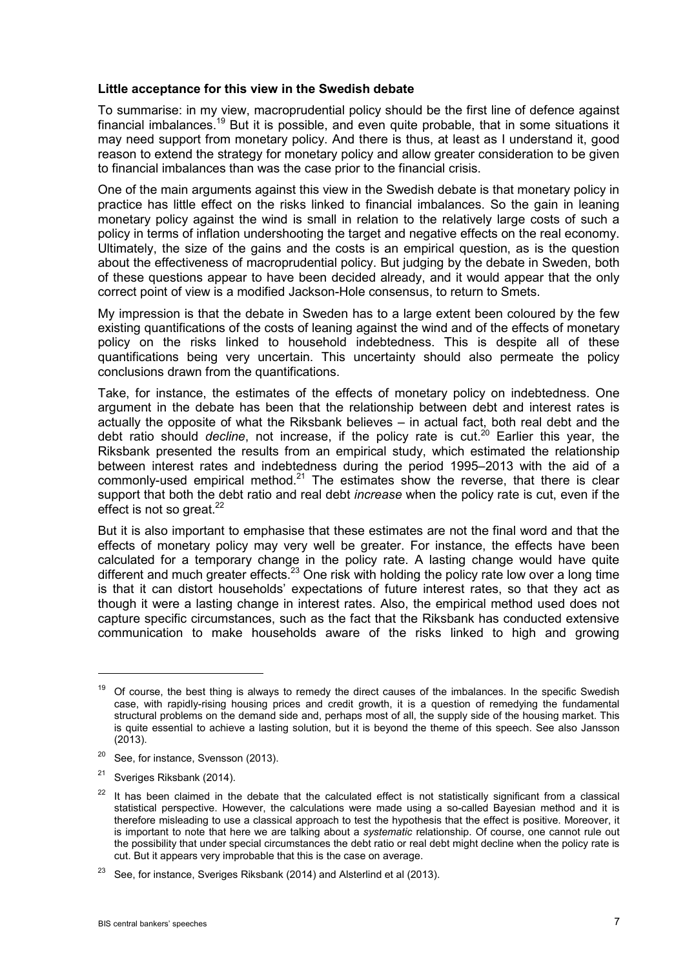### **Little acceptance for this view in the Swedish debate**

To summarise: in my view, macroprudential policy should be the first line of defence against financial imbalances.<sup>19</sup> But it is possible, and even quite probable, that in some situations it may need support from monetary policy. And there is thus, at least as I understand it, good reason to extend the strategy for monetary policy and allow greater consideration to be given to financial imbalances than was the case prior to the financial crisis.

One of the main arguments against this view in the Swedish debate is that monetary policy in practice has little effect on the risks linked to financial imbalances. So the gain in leaning monetary policy against the wind is small in relation to the relatively large costs of such a policy in terms of inflation undershooting the target and negative effects on the real economy. Ultimately, the size of the gains and the costs is an empirical question, as is the question about the effectiveness of macroprudential policy. But judging by the debate in Sweden, both of these questions appear to have been decided already, and it would appear that the only correct point of view is a modified Jackson-Hole consensus, to return to Smets.

My impression is that the debate in Sweden has to a large extent been coloured by the few existing quantifications of the costs of leaning against the wind and of the effects of monetary policy on the risks linked to household indebtedness. This is despite all of these quantifications being very uncertain. This uncertainty should also permeate the policy conclusions drawn from the quantifications.

Take, for instance, the estimates of the effects of monetary policy on indebtedness. One argument in the debate has been that the relationship between debt and interest rates is actually the opposite of what the Riksbank believes – in actual fact, both real debt and the debt ratio should *decline*, not increase, if the policy rate is cut.<sup>20</sup> Earlier this year, the Riksbank presented the results from an empirical study, which estimated the relationship between interest rates and indebtedness during the period 1995–2013 with the aid of a commonly-used empirical method. $21$  The estimates show the reverse, that there is clear support that both the debt ratio and real debt *increase* when the policy rate is cut, even if the effect is not so great.<sup>22</sup>

But it is also important to emphasise that these estimates are not the final word and that the effects of monetary policy may very well be greater. For instance, the effects have been calculated for a temporary change in the policy rate. A lasting change would have quite different and much greater effects.<sup>23</sup> One risk with holding the policy rate low over a long time is that it can distort households' expectations of future interest rates, so that they act as though it were a lasting change in interest rates. Also, the empirical method used does not capture specific circumstances, such as the fact that the Riksbank has conducted extensive communication to make households aware of the risks linked to high and growing

 $19$  Of course, the best thing is always to remedy the direct causes of the imbalances. In the specific Swedish case, with rapidly-rising housing prices and credit growth, it is a question of remedying the fundamental structural problems on the demand side and, perhaps most of all, the supply side of the housing market. This is quite essential to achieve a lasting solution, but it is beyond the theme of this speech. See also Jansson (2013).

<sup>&</sup>lt;sup>20</sup> See, for instance, Svensson (2013).

<sup>&</sup>lt;sup>21</sup> Sveriges Riksbank (2014).

 $22$  It has been claimed in the debate that the calculated effect is not statistically significant from a classical statistical perspective. However, the calculations were made using a so-called Bayesian method and it is therefore misleading to use a classical approach to test the hypothesis that the effect is positive. Moreover, it is important to note that here we are talking about a *systematic* relationship. Of course, one cannot rule out the possibility that under special circumstances the debt ratio or real debt might decline when the policy rate is cut. But it appears very improbable that this is the case on average.

 $23$  See, for instance, Sveriges Riksbank (2014) and Alsterlind et al (2013).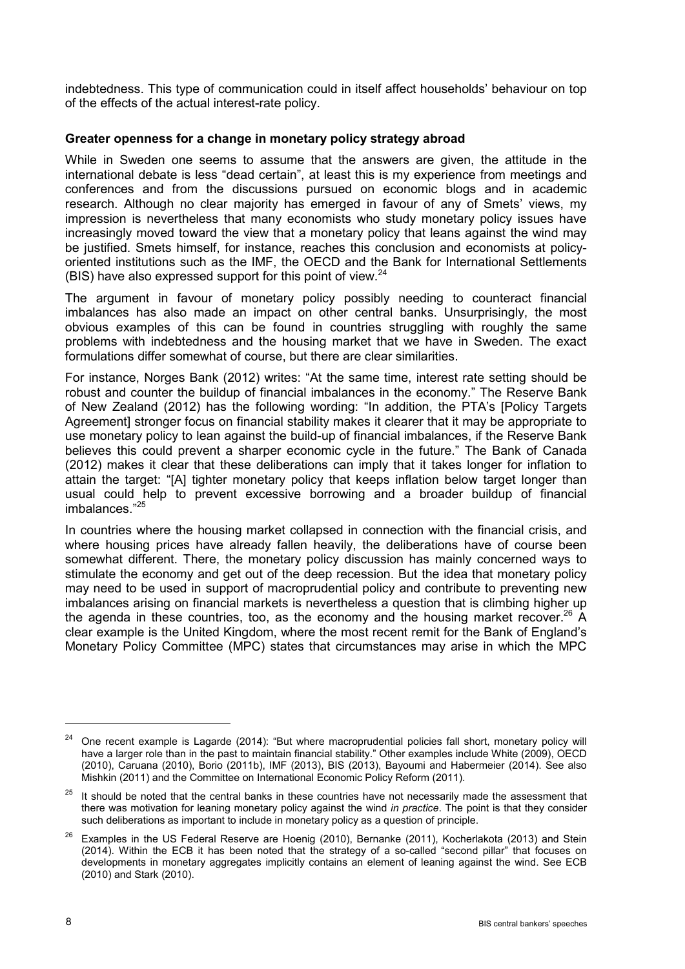indebtedness. This type of communication could in itself affect households' behaviour on top of the effects of the actual interest-rate policy.

# **Greater openness for a change in monetary policy strategy abroad**

While in Sweden one seems to assume that the answers are given, the attitude in the international debate is less "dead certain", at least this is my experience from meetings and conferences and from the discussions pursued on economic blogs and in academic research. Although no clear majority has emerged in favour of any of Smets' views, my impression is nevertheless that many economists who study monetary policy issues have increasingly moved toward the view that a monetary policy that leans against the wind may be justified. Smets himself, for instance, reaches this conclusion and economists at policyoriented institutions such as the IMF, the OECD and the Bank for International Settlements (BIS) have also expressed support for this point of view. $^{24}$ 

The argument in favour of monetary policy possibly needing to counteract financial imbalances has also made an impact on other central banks. Unsurprisingly, the most obvious examples of this can be found in countries struggling with roughly the same problems with indebtedness and the housing market that we have in Sweden. The exact formulations differ somewhat of course, but there are clear similarities.

For instance, Norges Bank (2012) writes: "At the same time, interest rate setting should be robust and counter the buildup of financial imbalances in the economy." The Reserve Bank of New Zealand (2012) has the following wording: "In addition, the PTA's [Policy Targets Agreement] stronger focus on financial stability makes it clearer that it may be appropriate to use monetary policy to lean against the build-up of financial imbalances, if the Reserve Bank believes this could prevent a sharper economic cycle in the future." The Bank of Canada (2012) makes it clear that these deliberations can imply that it takes longer for inflation to attain the target: "[A] tighter monetary policy that keeps inflation below target longer than usual could help to prevent excessive borrowing and a broader buildup of financial imbalances." 25

In countries where the housing market collapsed in connection with the financial crisis, and where housing prices have already fallen heavily, the deliberations have of course been somewhat different. There, the monetary policy discussion has mainly concerned ways to stimulate the economy and get out of the deep recession. But the idea that monetary policy may need to be used in support of macroprudential policy and contribute to preventing new imbalances arising on financial markets is nevertheless a question that is climbing higher up the agenda in these countries, too, as the economy and the housing market recover.<sup>26</sup> A clear example is the United Kingdom, where the most recent remit for the Bank of England's Monetary Policy Committee (MPC) states that circumstances may arise in which the MPC

<sup>&</sup>lt;sup>24</sup> One recent example is Lagarde (2014): "But where macroprudential policies fall short, monetary policy will have a larger role than in the past to maintain financial stability." Other examples include White (2009), OECD (2010), Caruana (2010), Borio (2011b), IMF (2013), BIS (2013), Bayoumi and Habermeier (2014). See also Mishkin (2011) and the Committee on International Economic Policy Reform (2011).

 $25$  It should be noted that the central banks in these countries have not necessarily made the assessment that there was motivation for leaning monetary policy against the wind *in practice*. The point is that they consider such deliberations as important to include in monetary policy as a question of principle.

 $26$  Examples in the US Federal Reserve are Hoenig (2010), Bernanke (2011), Kocherlakota (2013) and Stein (2014). Within the ECB it has been noted that the strategy of a so-called "second pillar" that focuses on developments in monetary aggregates implicitly contains an element of leaning against the wind. See ECB (2010) and Stark (2010).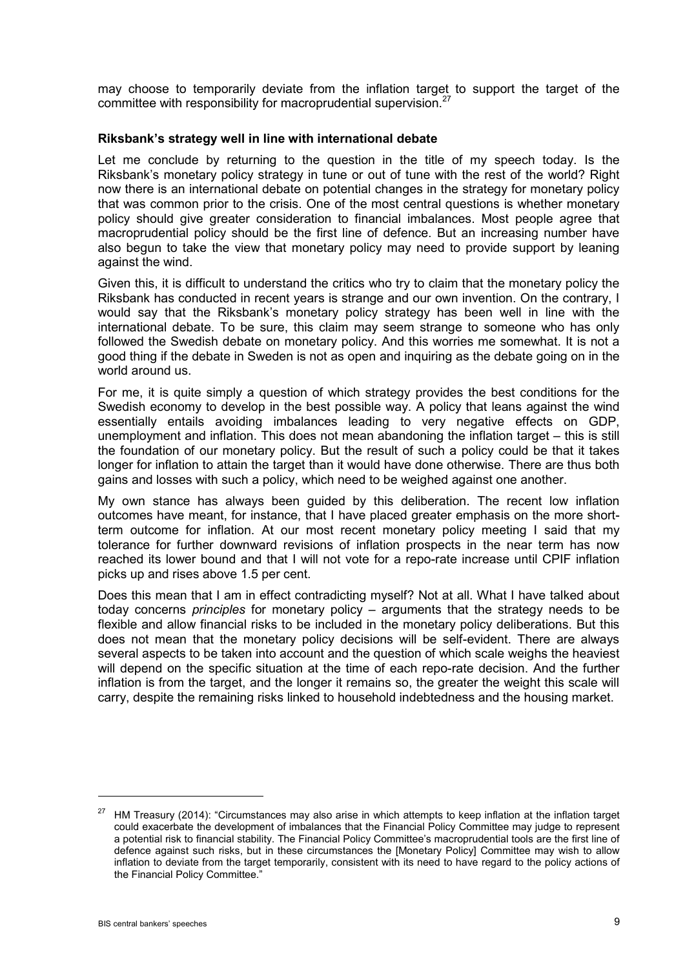may choose to temporarily deviate from the inflation target to support the target of the committee with responsibility for macroprudential supervision.<sup>27</sup>

#### **Riksbank's strategy well in line with international debate**

Let me conclude by returning to the question in the title of my speech today. Is the Riksbank's monetary policy strategy in tune or out of tune with the rest of the world? Right now there is an international debate on potential changes in the strategy for monetary policy that was common prior to the crisis. One of the most central questions is whether monetary policy should give greater consideration to financial imbalances. Most people agree that macroprudential policy should be the first line of defence. But an increasing number have also begun to take the view that monetary policy may need to provide support by leaning against the wind.

Given this, it is difficult to understand the critics who try to claim that the monetary policy the Riksbank has conducted in recent years is strange and our own invention. On the contrary, I would say that the Riksbank's monetary policy strategy has been well in line with the international debate. To be sure, this claim may seem strange to someone who has only followed the Swedish debate on monetary policy. And this worries me somewhat. It is not a good thing if the debate in Sweden is not as open and inquiring as the debate going on in the world around us.

For me, it is quite simply a question of which strategy provides the best conditions for the Swedish economy to develop in the best possible way. A policy that leans against the wind essentially entails avoiding imbalances leading to very negative effects on GDP, unemployment and inflation. This does not mean abandoning the inflation target – this is still the foundation of our monetary policy. But the result of such a policy could be that it takes longer for inflation to attain the target than it would have done otherwise. There are thus both gains and losses with such a policy, which need to be weighed against one another.

My own stance has always been guided by this deliberation. The recent low inflation outcomes have meant, for instance, that I have placed greater emphasis on the more shortterm outcome for inflation. At our most recent monetary policy meeting I said that my tolerance for further downward revisions of inflation prospects in the near term has now reached its lower bound and that I will not vote for a repo-rate increase until CPIF inflation picks up and rises above 1.5 per cent.

Does this mean that I am in effect contradicting myself? Not at all. What I have talked about today concerns *principles* for monetary policy – arguments that the strategy needs to be flexible and allow financial risks to be included in the monetary policy deliberations. But this does not mean that the monetary policy decisions will be self-evident. There are always several aspects to be taken into account and the question of which scale weighs the heaviest will depend on the specific situation at the time of each repo-rate decision. And the further inflation is from the target, and the longer it remains so, the greater the weight this scale will carry, despite the remaining risks linked to household indebtedness and the housing market.

<sup>&</sup>lt;sup>27</sup> HM Treasury (2014): "Circumstances may also arise in which attempts to keep inflation at the inflation target could exacerbate the development of imbalances that the Financial Policy Committee may judge to represent a potential risk to financial stability. The Financial Policy Committee's macroprudential tools are the first line of defence against such risks, but in these circumstances the [Monetary Policy] Committee may wish to allow inflation to deviate from the target temporarily, consistent with its need to have regard to the policy actions of the Financial Policy Committee."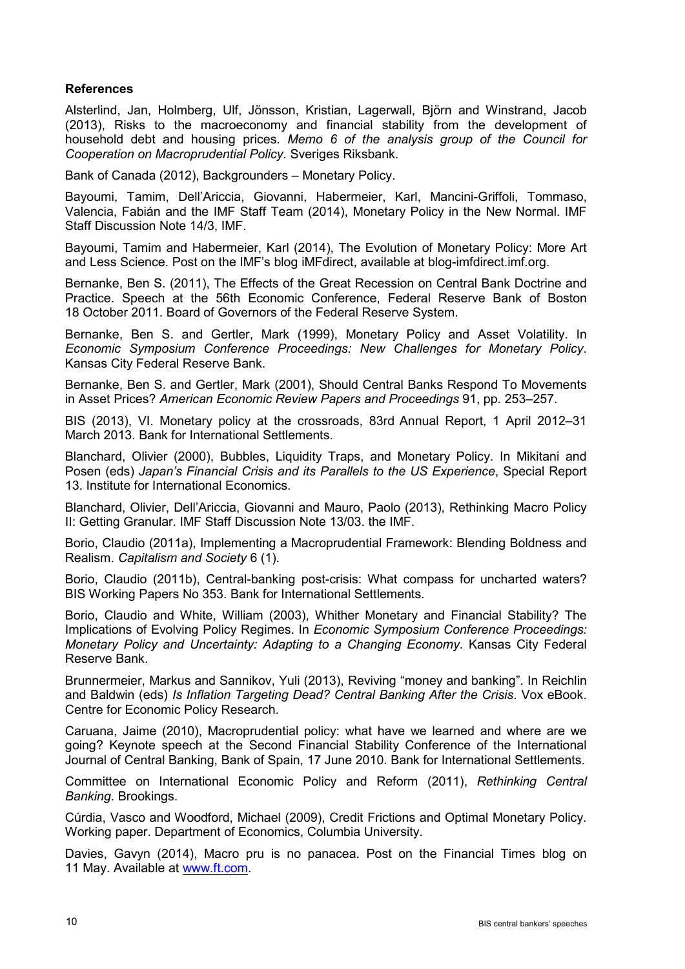### **References**

Alsterlind, Jan, Holmberg, Ulf, Jönsson, Kristian, Lagerwall, Björn and Winstrand, Jacob (2013), Risks to the macroeconomy and financial stability from the development of household debt and housing prices. *Memo 6 of the analysis group of the Council for Cooperation on Macroprudential Policy.* Sveriges Riksbank.

Bank of Canada (2012), Backgrounders – Monetary Policy.

Bayoumi, Tamim, Dell'Ariccia, Giovanni, Habermeier, Karl, Mancini-Griffoli, Tommaso, Valencia, Fabián and the IMF Staff Team (2014), Monetary Policy in the New Normal. IMF Staff Discussion Note 14/3, IMF.

Bayoumi, Tamim and Habermeier, Karl (2014), The Evolution of Monetary Policy: More Art and Less Science. Post on the IMF's blog iMFdirect, available at blog-imfdirect.imf.org.

Bernanke, Ben S. (2011), The Effects of the Great Recession on Central Bank Doctrine and Practice. Speech at the 56th Economic Conference, Federal Reserve Bank of Boston 18 October 2011. Board of Governors of the Federal Reserve System.

Bernanke, Ben S. and Gertler, Mark (1999), Monetary Policy and Asset Volatility. In *Economic Symposium Conference Proceedings: New Challenges for Monetary Policy*. Kansas City Federal Reserve Bank.

Bernanke, Ben S. and Gertler, Mark (2001), Should Central Banks Respond To Movements in Asset Prices? *American Economic Review Papers and Proceedings* 91, pp. 253–257.

BIS (2013), VI. Monetary policy at the crossroads, 83rd Annual Report, 1 April 2012–31 March 2013. Bank for International Settlements.

Blanchard, Olivier (2000), Bubbles, Liquidity Traps, and Monetary Policy. In Mikitani and Posen (eds) *Japan's Financial Crisis and its Parallels to the US Experience*, Special Report 13. Institute for International Economics.

Blanchard, Olivier, Dell'Ariccia, Giovanni and Mauro, Paolo (2013), Rethinking Macro Policy II: Getting Granular. IMF Staff Discussion Note 13/03. the IMF.

Borio, Claudio (2011a), Implementing a Macroprudential Framework: Blending Boldness and Realism. *Capitalism and Society* 6 (1).

Borio, Claudio (2011b), Central-banking post-crisis: What compass for uncharted waters? BIS Working Papers No 353. Bank for International Settlements.

Borio, Claudio and White, William (2003), Whither Monetary and Financial Stability? The Implications of Evolving Policy Regimes. In *Economic Symposium Conference Proceedings: Monetary Policy and Uncertainty: Adapting to a Changing Economy*. Kansas City Federal Reserve Bank.

Brunnermeier, Markus and Sannikov, Yuli (2013), Reviving "money and banking". In Reichlin and Baldwin (eds) *Is Inflation Targeting Dead? Central Banking After the Crisis*. Vox eBook. Centre for Economic Policy Research.

Caruana, Jaime (2010), Macroprudential policy: what have we learned and where are we going? Keynote speech at the Second Financial Stability Conference of the International Journal of Central Banking, Bank of Spain, 17 June 2010. Bank for International Settlements.

Committee on International Economic Policy and Reform (2011), *Rethinking Central Banking*. Brookings.

Cúrdia, Vasco and Woodford, Michael (2009), Credit Frictions and Optimal Monetary Policy. Working paper. Department of Economics, Columbia University.

Davies, Gavyn (2014), Macro pru is no panacea. Post on the Financial Times blog on 11 May. Available at [www.ft.com.](http://www.ft.com/home/uk)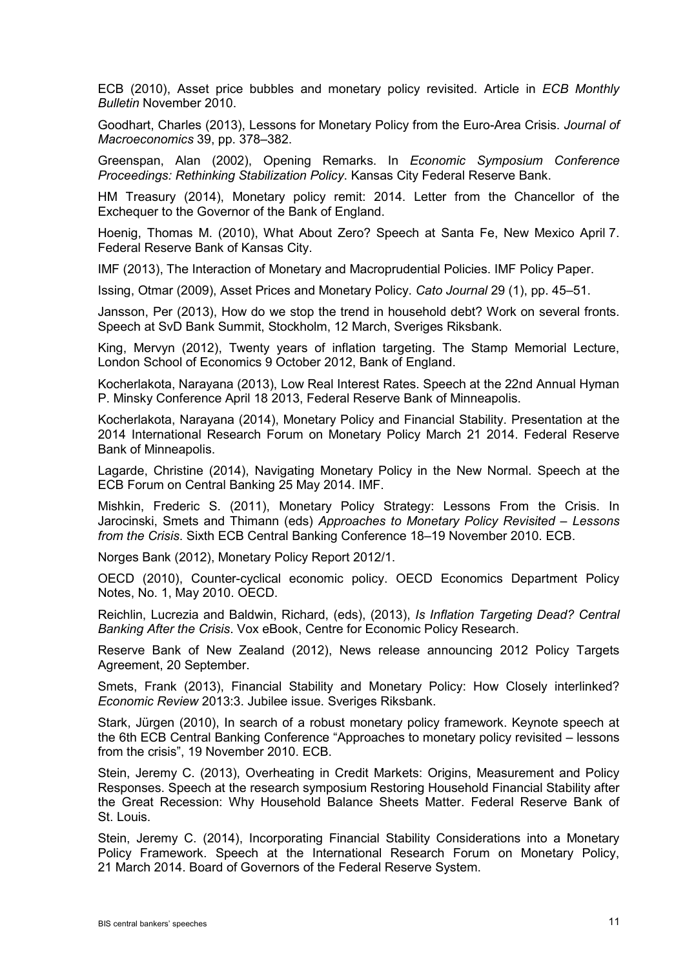ECB (2010), Asset price bubbles and monetary policy revisited. Article in *ECB Monthly Bulletin* November 2010.

Goodhart, Charles (2013), Lessons for Monetary Policy from the Euro-Area Crisis. *Journal of Macroeconomics* 39, pp. 378–382.

Greenspan, Alan (2002), Opening Remarks. In *Economic Symposium Conference Proceedings: Rethinking Stabilization Policy*. Kansas City Federal Reserve Bank.

HM Treasury (2014), Monetary policy remit: 2014. Letter from the Chancellor of the Exchequer to the Governor of the Bank of England.

Hoenig, Thomas M. (2010), What About Zero? Speech at Santa Fe, New Mexico April 7. Federal Reserve Bank of Kansas City.

IMF (2013), The Interaction of Monetary and Macroprudential Policies. IMF Policy Paper.

Issing, Otmar (2009), Asset Prices and Monetary Policy. *Cato Journal* 29 (1), pp. 45–51.

Jansson, Per (2013), How do we stop the trend in household debt? Work on several fronts. Speech at SvD Bank Summit, Stockholm, 12 March, Sveriges Riksbank.

King, Mervyn (2012), Twenty years of inflation targeting. The Stamp Memorial Lecture, London School of Economics 9 October 2012, Bank of England.

Kocherlakota, Narayana (2013), Low Real Interest Rates. Speech at the 22nd Annual Hyman P. Minsky Conference April 18 2013, Federal Reserve Bank of Minneapolis.

Kocherlakota, Narayana (2014), Monetary Policy and Financial Stability. Presentation at the 2014 International Research Forum on Monetary Policy March 21 2014. Federal Reserve Bank of Minneapolis.

Lagarde, Christine (2014), Navigating Monetary Policy in the New Normal. Speech at the ECB Forum on Central Banking 25 May 2014. IMF.

Mishkin, Frederic S. (2011), Monetary Policy Strategy: Lessons From the Crisis. In Jarocinski, Smets and Thimann (eds) *Approaches to Monetary Policy Revisited – Lessons from the Crisis*. Sixth ECB Central Banking Conference 18–19 November 2010. ECB.

Norges Bank (2012), Monetary Policy Report 2012/1.

OECD (2010), Counter-cyclical economic policy. OECD Economics Department Policy Notes, No. 1, May 2010. OECD.

Reichlin, Lucrezia and Baldwin, Richard, (eds), (2013), *Is Inflation Targeting Dead? Central Banking After the Crisis*. Vox eBook, Centre for Economic Policy Research.

Reserve Bank of New Zealand (2012), News release announcing 2012 Policy Targets Agreement, 20 September.

Smets, Frank (2013), Financial Stability and Monetary Policy: How Closely interlinked? *Economic Review* 2013:3. Jubilee issue. Sveriges Riksbank.

Stark, Jürgen (2010), In search of a robust monetary policy framework. Keynote speech at the 6th ECB Central Banking Conference "Approaches to monetary policy revisited – lessons from the crisis", 19 November 2010. ECB.

Stein, Jeremy C. (2013), Overheating in Credit Markets: Origins, Measurement and Policy Responses. Speech at the research symposium Restoring Household Financial Stability after the Great Recession: Why Household Balance Sheets Matter. Federal Reserve Bank of St. Louis.

Stein, Jeremy C. (2014), Incorporating Financial Stability Considerations into a Monetary Policy Framework. Speech at the International Research Forum on Monetary Policy, 21 March 2014. Board of Governors of the Federal Reserve System.